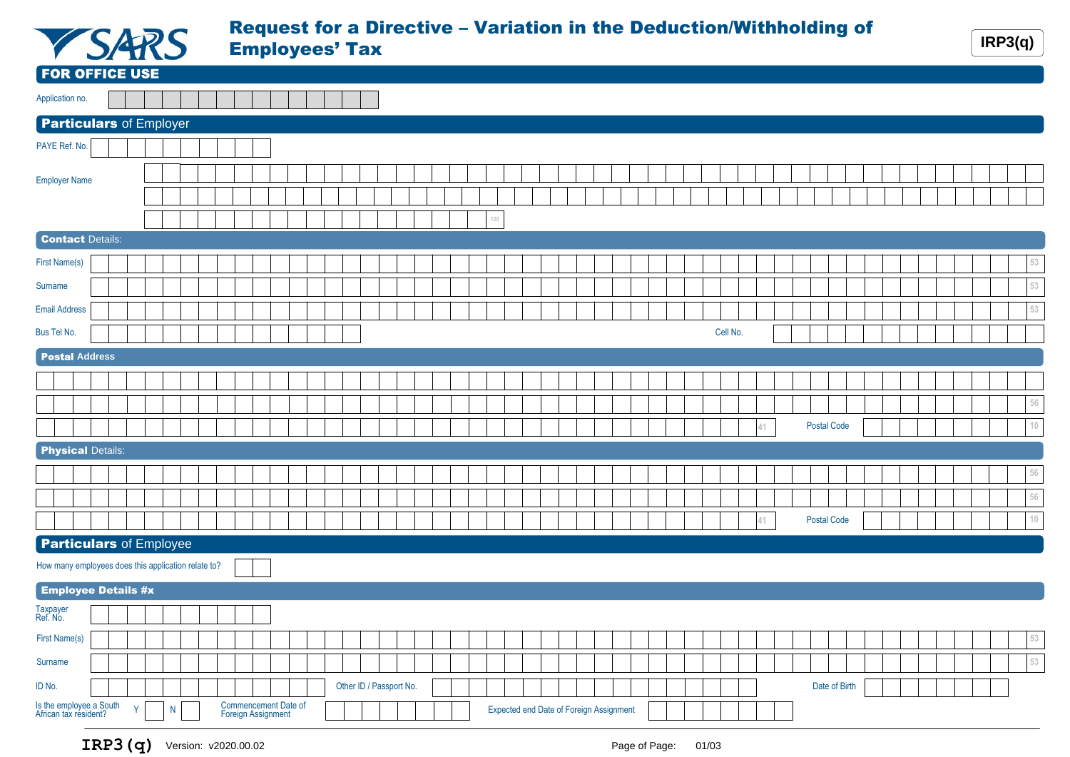

## Request for a Directive – Variation in the Deduction/Withholding of **Employees' Tax** IRP3(q)

|                                                     |                            | $\sim$       |   |  | $\mathbf{m}$ |  |                                            |  |                         |  |  |     |  |                                                |  |  |  |          |    |  |                    |  |  |  | $\qquad \qquad$ |             |
|-----------------------------------------------------|----------------------------|--------------|---|--|--------------|--|--------------------------------------------|--|-------------------------|--|--|-----|--|------------------------------------------------|--|--|--|----------|----|--|--------------------|--|--|--|-----------------|-------------|
| <b>FOR OFFICE USE</b>                               |                            |              |   |  |              |  |                                            |  |                         |  |  |     |  |                                                |  |  |  |          |    |  |                    |  |  |  |                 |             |
| Application no.                                     |                            |              |   |  |              |  |                                            |  |                         |  |  |     |  |                                                |  |  |  |          |    |  |                    |  |  |  |                 |             |
| <b>Particulars of Employer</b>                      |                            |              |   |  |              |  |                                            |  |                         |  |  |     |  |                                                |  |  |  |          |    |  |                    |  |  |  |                 |             |
| PAYE Ref. No.                                       |                            |              |   |  |              |  |                                            |  |                         |  |  |     |  |                                                |  |  |  |          |    |  |                    |  |  |  |                 |             |
| <b>Employer Name</b>                                |                            |              |   |  |              |  |                                            |  |                         |  |  |     |  |                                                |  |  |  |          |    |  |                    |  |  |  |                 |             |
|                                                     | <b>Contact Details:</b>    |              |   |  |              |  |                                            |  |                         |  |  | 120 |  |                                                |  |  |  |          |    |  |                    |  |  |  |                 |             |
| <b>First Name(s)</b>                                |                            |              |   |  |              |  |                                            |  |                         |  |  |     |  |                                                |  |  |  |          |    |  |                    |  |  |  |                 | 53          |
| Surname                                             |                            |              |   |  |              |  |                                            |  |                         |  |  |     |  |                                                |  |  |  |          |    |  |                    |  |  |  |                 | 53          |
|                                                     |                            |              |   |  |              |  |                                            |  |                         |  |  |     |  |                                                |  |  |  |          |    |  |                    |  |  |  |                 |             |
| <b>Email Address</b>                                |                            |              |   |  |              |  |                                            |  |                         |  |  |     |  |                                                |  |  |  |          |    |  |                    |  |  |  |                 | $53\,$      |
| Bus Tel No.                                         |                            |              |   |  |              |  |                                            |  |                         |  |  |     |  |                                                |  |  |  | Cell No. |    |  |                    |  |  |  |                 |             |
|                                                     | <b>Postal Address</b>      |              |   |  |              |  |                                            |  |                         |  |  |     |  |                                                |  |  |  |          |    |  |                    |  |  |  |                 |             |
|                                                     |                            |              |   |  |              |  |                                            |  |                         |  |  |     |  |                                                |  |  |  |          |    |  |                    |  |  |  |                 |             |
|                                                     |                            |              |   |  |              |  |                                            |  |                         |  |  |     |  |                                                |  |  |  |          |    |  |                    |  |  |  |                 | $56\,$      |
|                                                     |                            |              |   |  |              |  |                                            |  |                         |  |  |     |  |                                                |  |  |  |          | 41 |  | <b>Postal Code</b> |  |  |  |                 | $10\,$      |
|                                                     | <b>Physical Details:</b>   |              |   |  |              |  |                                            |  |                         |  |  |     |  |                                                |  |  |  |          |    |  |                    |  |  |  |                 |             |
|                                                     |                            |              |   |  |              |  |                                            |  |                         |  |  |     |  |                                                |  |  |  |          |    |  |                    |  |  |  |                 | $56\,$      |
|                                                     |                            |              |   |  |              |  |                                            |  |                         |  |  |     |  |                                                |  |  |  |          |    |  |                    |  |  |  |                 | $56\,$      |
|                                                     |                            |              |   |  |              |  |                                            |  |                         |  |  |     |  |                                                |  |  |  |          |    |  |                    |  |  |  |                 |             |
|                                                     |                            |              |   |  |              |  |                                            |  |                         |  |  |     |  |                                                |  |  |  |          | 41 |  | <b>Postal Code</b> |  |  |  |                 | $\sqrt{10}$ |
| <b>Particulars of Employee</b>                      |                            |              |   |  |              |  |                                            |  |                         |  |  |     |  |                                                |  |  |  |          |    |  |                    |  |  |  |                 |             |
| How many employees does this application relate to? |                            |              |   |  |              |  |                                            |  |                         |  |  |     |  |                                                |  |  |  |          |    |  |                    |  |  |  |                 |             |
|                                                     | <b>Employee Details #x</b> |              |   |  |              |  |                                            |  |                         |  |  |     |  |                                                |  |  |  |          |    |  |                    |  |  |  |                 |             |
| Taxpayer<br>Ref. No.                                |                            |              |   |  |              |  |                                            |  |                         |  |  |     |  |                                                |  |  |  |          |    |  |                    |  |  |  |                 |             |
| First Name(s)                                       |                            |              |   |  |              |  |                                            |  |                         |  |  |     |  |                                                |  |  |  |          |    |  |                    |  |  |  |                 | 53          |
| Surname                                             |                            |              |   |  |              |  |                                            |  |                         |  |  |     |  |                                                |  |  |  |          |    |  |                    |  |  |  |                 | $53\,$      |
| ID No.                                              |                            |              |   |  |              |  |                                            |  | Other ID / Passport No. |  |  |     |  |                                                |  |  |  |          |    |  | Date of Birth      |  |  |  |                 |             |
| Is the employee a South<br>African tax resident?    |                            | $\mathsf{Y}$ | N |  |              |  | Commencement Date of<br>Foreign Assignment |  |                         |  |  |     |  | <b>Expected end Date of Foreign Assignment</b> |  |  |  |          |    |  |                    |  |  |  |                 |             |